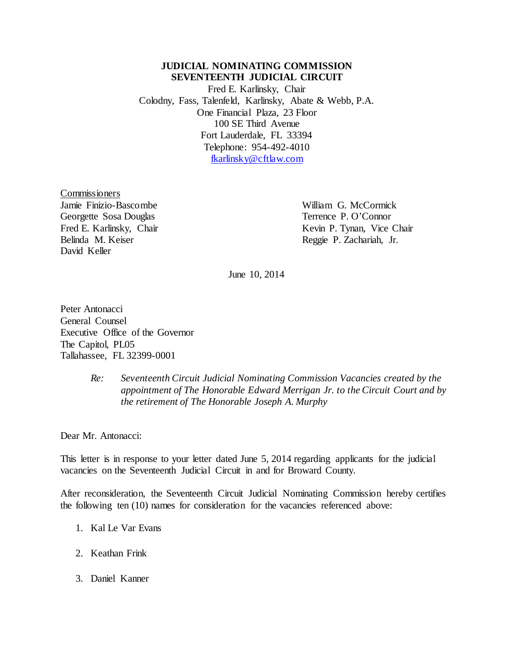## **JUDICIAL NOMINATING COMMISSION**<br>SEVENTEENTH JUDICIAL CIRCUIT

Ċ, Fred E. Karlinsky, Chair<br>Colodny, Fass, Talenfeld, Karlinsky, Abate & Webb, P.A. Financial Plaza, 23 Floor Third Avenue Fort Lauderdale, FL 33394 Telephone: 954-492-4010 į. One Financial Plaza, 23 Floor<br>100 SE Third Avenue<br>Fort Lauderdale, FL 33394<br>Telephone: 954-492-4010<br><u>fkarlinsky@cftlaw.com</u><br>Commissioners

 Jamie Finizio-Bascombe William G. McCormick Fred E. Karlinsky, Chair Belinda M. Keiser David Keller Georgette Sosa Douglas Terrence P. O'Connor

Kevin P. Tynan, Vice Chair Reggie P. Zachariah, Jr.

June 10, 2014

 Executive Office of the Governor Peter Antonacci General Counsel The Capitol, PL05 Tallahassee, FL 32399-0001

## Re: Seventeenth Circuit Judicial Nominating Commission Vacancies created by the  *appointment of The Honorable Edward Merrigan Jr. to the Circuit Court and by the retirement of The Honorable Joseph A. Murphy*  $Re:$

Dear Mr. Antonacci:

 This letter is in response to your letter dated June 5, 2014 regarding applicants for the judicial vacancies on the Seventeenth Judicial Circuit in and for Broward County.

 After reconsideration, the Seventeenth Circuit Judicial Nominating Commission hereby certifies the following ten (10) names for consideration for the vacancies referenced above:

- 1. Kal Le Var Evans
- 2. Keathan Frink
- 3. Daniel Kanner